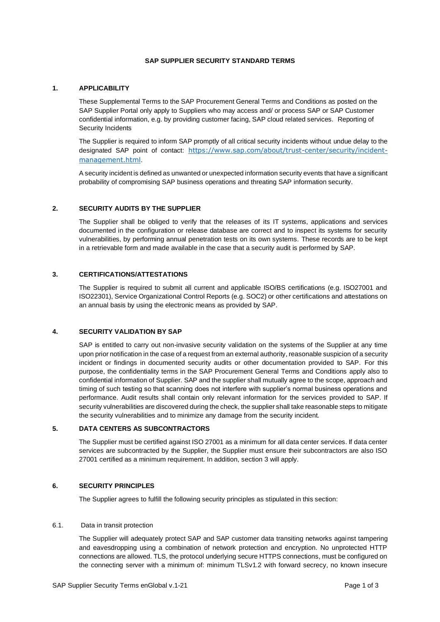## **SAP SUPPLIER SECURITY STANDARD TERMS**

# **1. APPLICABILITY**

These Supplemental Terms to the SAP Procurement General Terms and Conditions as posted on the [SAP Supplier Portal](https://www.sap.com/germany/about/agreements/sap-supplier-portal/terms-and-conditions.html) only apply to Suppliers who may access and/ or process SAP or SAP Customer confidential information, e.g. by providing customer facing, SAP cloud related services. Reporting of Security Incidents

The Supplier is required to inform SAP promptly of all critical security incidents without undue delay to the designated SAP point of contact: [https://www.sap.com/about/trust-center/security/incident](https://www.sap.com/about/trust-center/security/incident-management.html)[management.html](https://www.sap.com/about/trust-center/security/incident-management.html).

A security incident is defined as unwanted or unexpected information security events that have a significant probability of compromising SAP business operations and threating SAP information security.

# **2. SECURITY AUDITS BY THE SUPPLIER**

The Supplier shall be obliged to verify that the releases of its IT systems, applications and services documented in the configuration or release database are correct and to inspect its systems for security vulnerabilities, by performing annual penetration tests on its own systems. These records are to be kept in a retrievable form and made available in the case that a security audit is performed by SAP.

## **3. CERTIFICATIONS/ATTESTATIONS**

The Supplier is required to submit all current and applicable ISO/BS certifications (e.g. ISO27001 and ISO22301), Service Organizational Control Reports (e.g. SOC2) or other certifications and attestations on an annual basis by using the electronic means as provided by SAP.

### **4. SECURITY VALIDATION BY SAP**

SAP is entitled to carry out non-invasive security validation on the systems of the Supplier at any time upon prior notification in the case of a request from an external authority, reasonable suspicion of a security incident or findings in documented security audits or other documentation provided to SAP. For this purpose, the confidentiality terms in the SAP Procurement General Terms and Conditions apply also to confidential information of Supplier. SAP and the supplier shall mutually agree to the scope, approach and timing of such testing so that scanning does not interfere with supplier's normal business operations and performance. Audit results shall contain only relevant information for the services provided to SAP. If security vulnerabilities are discovered during the check, the supplier shall take reasonable steps to mitigate the security vulnerabilities and to minimize any damage from the security incident.

### **5. DATA CENTERS AS SUBCONTRACTORS**

The Supplier must be certified against ISO 27001 as a minimum for all data center services. If data center services are subcontracted by the Supplier, the Supplier must ensure their subcontractors are also ISO 27001 certified as a minimum requirement. In addition, section 3 will apply.

### **6. SECURITY PRINCIPLES**

The Supplier agrees to fulfill the following security principles as stipulated in this section:

## 6.1. Data in transit protection

The Supplier will adequately protect SAP and SAP customer data transiting networks against tampering and eavesdropping using a combination of network protection and encryption. No unprotected HTTP connections are allowed. TLS, the protocol underlying secure HTTPS connections, must be configured on the connecting server with a minimum of: minimum TLSv1.2 with forward secrecy, no known insecure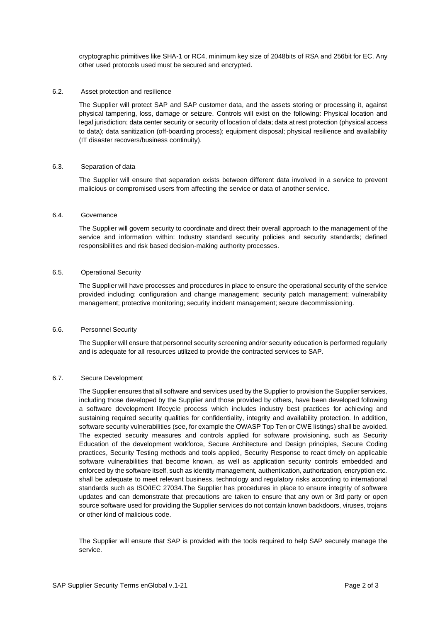cryptographic primitives like SHA-1 or RC4, minimum key size of 2048bits of RSA and 256bit for EC. Any other used protocols used must be secured and encrypted.

#### 6.2. Asset protection and resilience

The Supplier will protect SAP and SAP customer data, and the assets storing or processing it, against physical tampering, loss, damage or seizure. Controls will exist on the following: Physical location and legal jurisdiction; data center security or security of location of data; data at rest protection (physical access to data); data sanitization (off-boarding process); equipment disposal; physical resilience and availability (IT disaster recovers/business continuity).

### 6.3. Separation of data

The Supplier will ensure that separation exists between different data involved in a service to prevent malicious or compromised users from affecting the service or data of another service.

### 6.4. Governance

The Supplier will govern security to coordinate and direct their overall approach to the management of the service and information within: Industry standard security policies and security standards; defined responsibilities and risk based decision-making authority processes.

### 6.5. Operational Security

The Supplier will have processes and procedures in place to ensure the operational security of the service provided including: configuration and change management; security patch management; vulnerability management; protective monitoring; security incident management; secure decommissioning.

### 6.6. Personnel Security

The Supplier will ensure that personnel security screening and/or security education is performed regularly and is adequate for all resources utilized to provide the contracted services to SAP.

## 6.7. Secure Development

The Supplier ensures that all software and services used by the Supplier to provision the Supplier services, including those developed by the Supplier and those provided by others, have been developed following a software development lifecycle process which includes industry best practices for achieving and sustaining required security qualities for confidentiality, integrity and availability protection. In addition, software security vulnerabilities (see, for example the OWASP Top Ten or CWE listings) shall be avoided. The expected security measures and controls applied for software provisioning, such as Security Education of the development workforce, Secure Architecture and Design principles, Secure Coding practices, Security Testing methods and tools applied, Security Response to react timely on applicable software vulnerabilities that become known, as well as application security controls embedded and enforced by the software itself, such as identity management, authentication, authorization, encryption etc. shall be adequate to meet relevant business, technology and regulatory risks according to international standards such as ISO/IEC 27034.The Supplier has procedures in place to ensure integrity of software updates and can demonstrate that precautions are taken to ensure that any own or 3rd party or open source software used for providing the Supplier services do not contain known backdoors, viruses, trojans or other kind of malicious code.

The Supplier will ensure that SAP is provided with the tools required to help SAP securely manage the service.